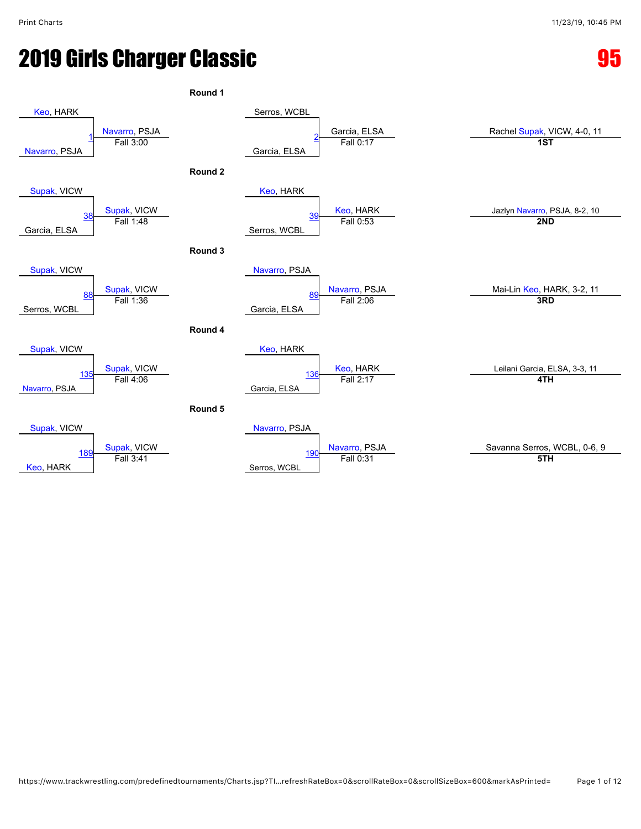# **2019 Girls Charger Classic 2019 Girls Charger Classic 35 Assessment Control Control Control Control Control Co**

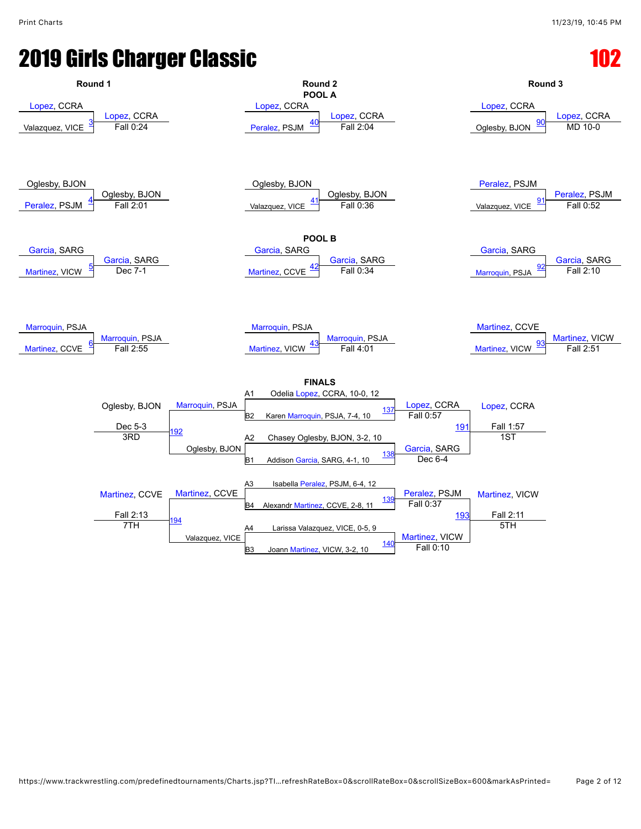# **2019 Girls Charger Classic**

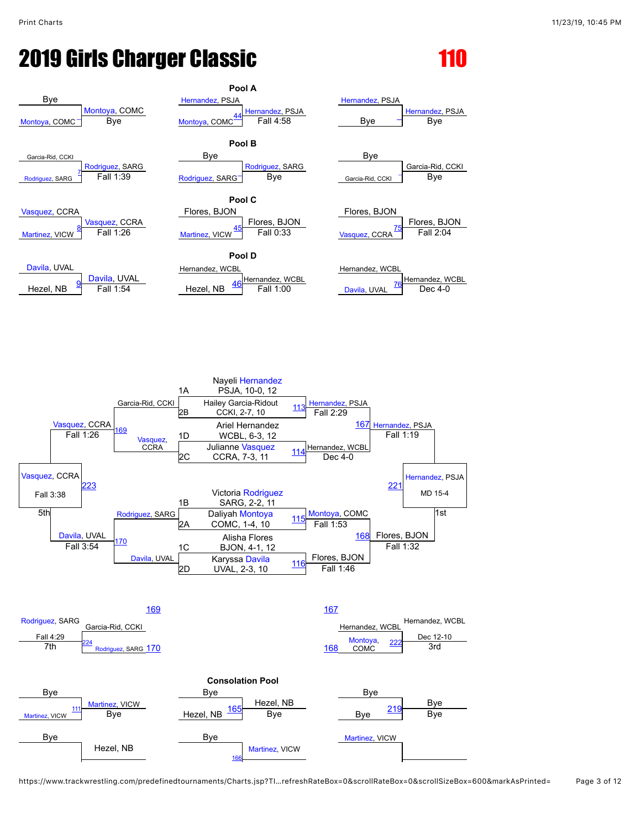### **2019 Girls Charger Classic**



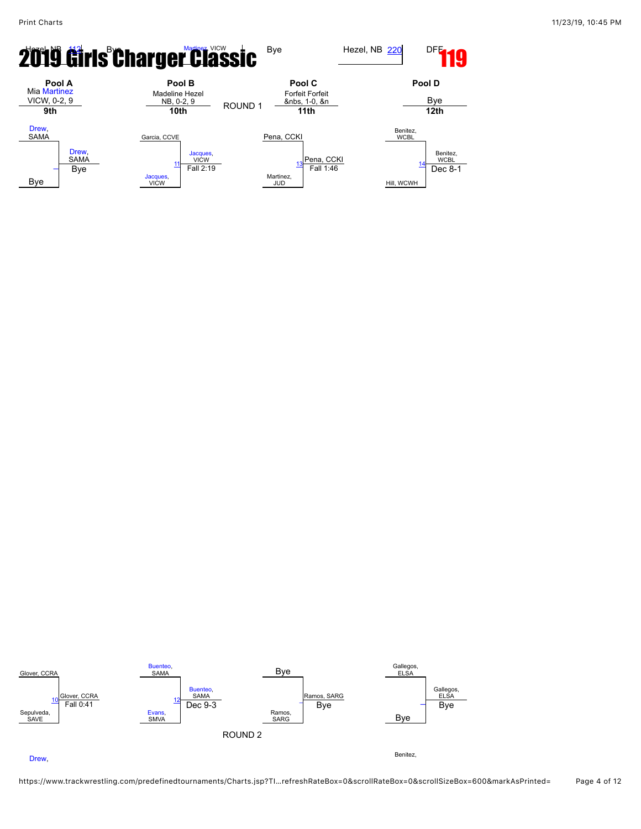



#### [Drew](javascript:viewProfile(71242135)),

https://www.trackwrestling.com/predefinedtournaments/Charts.jsp?TI…refreshRateBox=0&scrollRateBox=0&scrollSizeBox=600&markAsPrinted= Page 4 of 12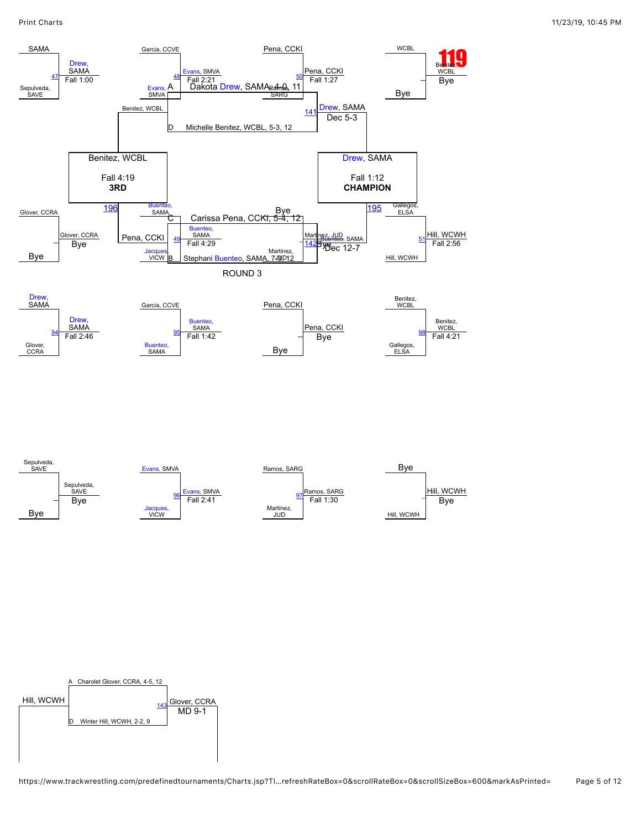

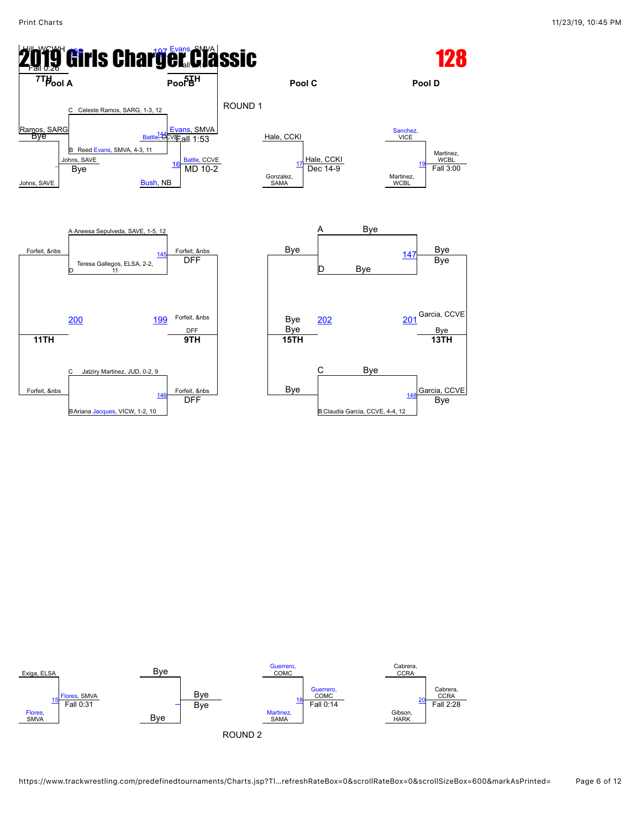



https://www.trackwrestling.com/predefinedtournaments/Charts.jsp?TI…refreshRateBox=0&scrollRateBox=0&scrollSizeBox=600&markAsPrinted= Page 6 of 12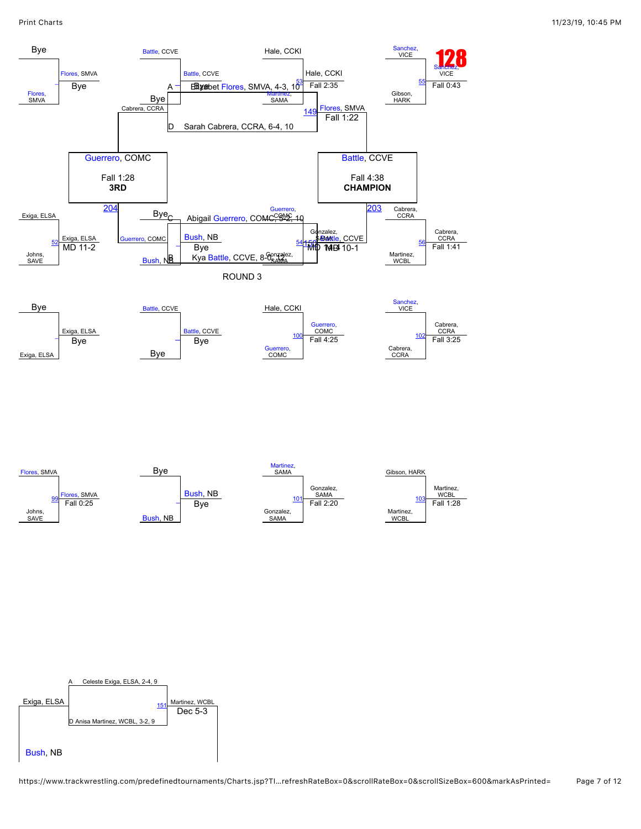

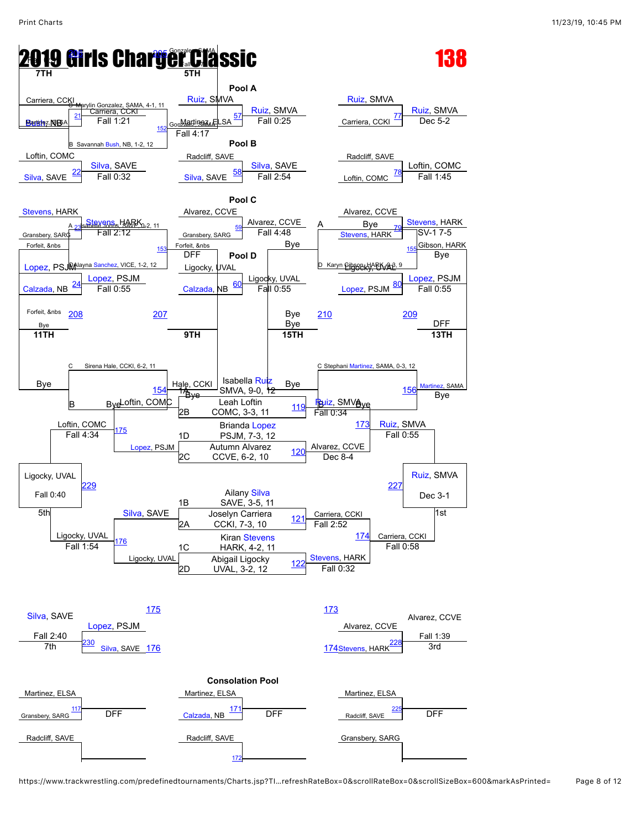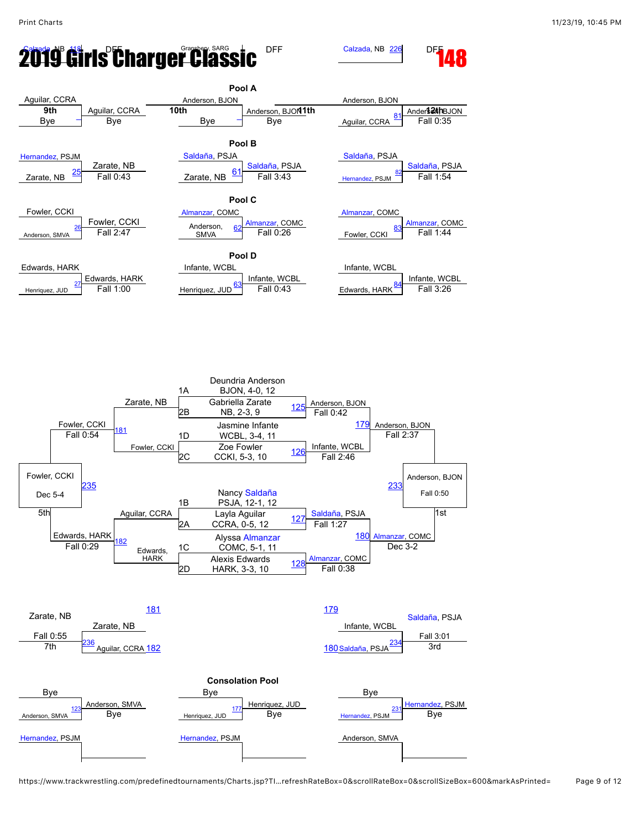# **2019 Girls Charger Classic** DFF Galzada, NB [226](javascript:openBoutSheet(30,) DF



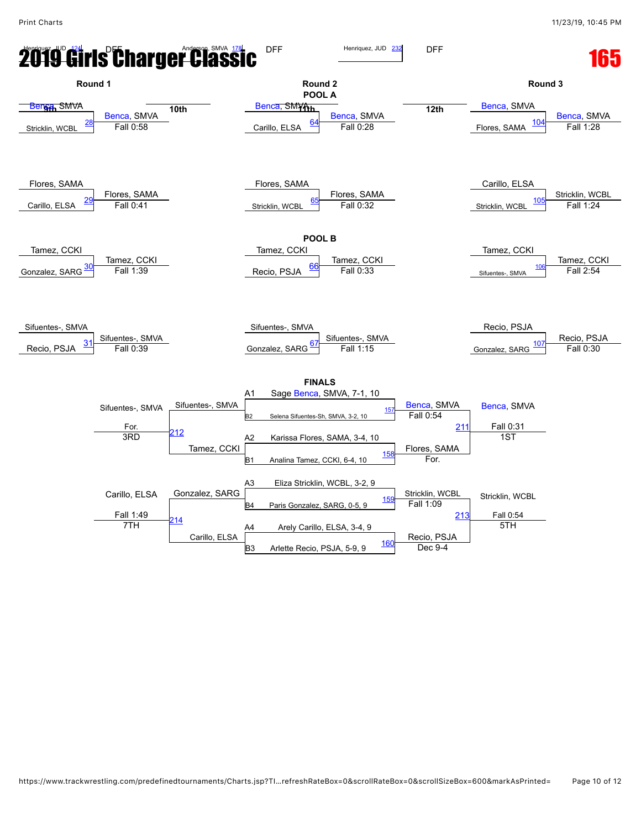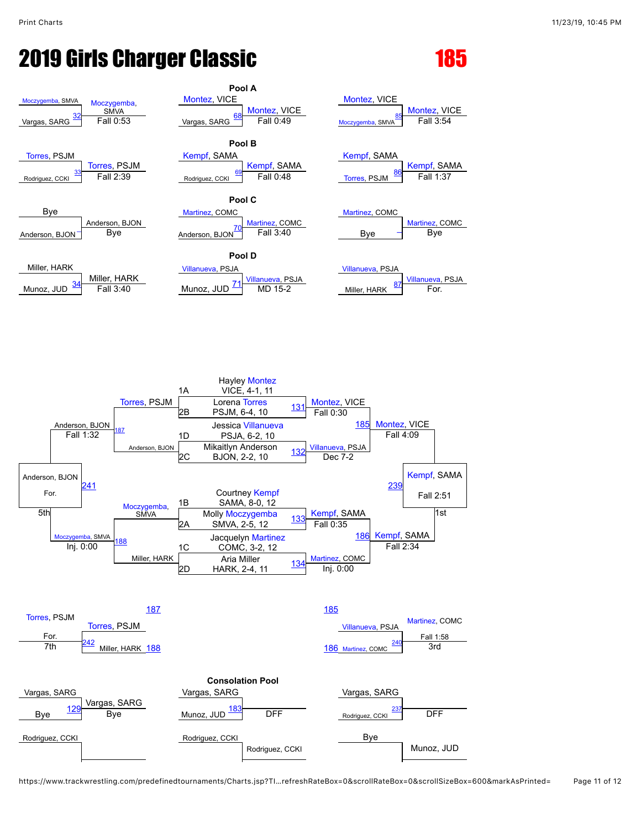# **2019 Girls Charger Classic 185**







https://www.trackwrestling.com/predefinedtournaments/Charts.jsp?TI…refreshRateBox=0&scrollRateBox=0&scrollSizeBox=600&markAsPrinted= Page 11 of 12